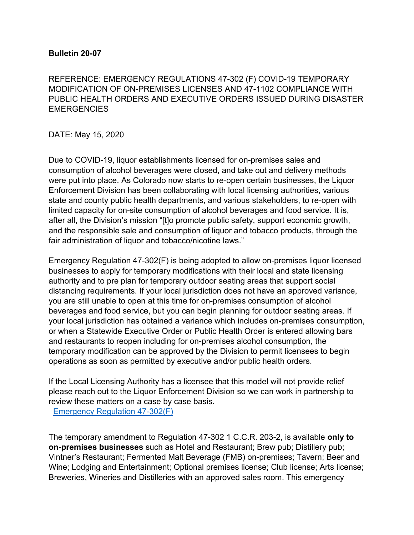#### **Bulletin 20-07**

REFERENCE: EMERGENCY REGULATIONS 47-302 (F) COVID-19 TEMPORARY MODIFICATION OF ON-PREMISES LICENSES AND 47-1102 COMPLIANCE WITH PUBLIC HEALTH ORDERS AND EXECUTIVE ORDERS ISSUED DURING DISASTER **EMERGENCIES** 

DATE: May 15, 2020

Due to COVID-19, liquor establishments licensed for on-premises sales and consumption of alcohol beverages were closed, and take out and delivery methods were put into place. As Colorado now starts to re-open certain businesses, the Liquor Enforcement Division has been collaborating with local licensing authorities, various state and county public health departments, and various stakeholders, to re-open with limited capacity for on-site consumption of alcohol beverages and food service. It is, after all, the Division's mission "[t]o promote public safety, support economic growth, and the responsible sale and consumption of liquor and tobacco products, through the fair administration of liquor and tobacco/nicotine laws."

Emergency Regulation 47-302(F) is being adopted to allow on-premises liquor licensed businesses to apply for temporary modifications with their local and state licensing authority and to pre plan for temporary outdoor seating areas that support social distancing requirements. If your local jurisdiction does not have an approved variance, you are still unable to open at this time for on-premises consumption of alcohol beverages and food service, but you can begin planning for outdoor seating areas. If your local jurisdiction has obtained a variance which includes on-premises consumption, or when a Statewide Executive Order or Public Health Order is entered allowing bars and restaurants to reopen including for on-premises alcohol consumption, the temporary modification can be approved by the Division to permit licensees to begin operations as soon as permitted by executive and/or public health orders.

If the Local Licensing Authority has a licensee that this model will not provide relief please reach out to the Liquor Enforcement Division so we can work in partnership to review these matters on a case by case basis.

[Emergency Regulation 47-302\(F\)](https://www.colorado.gov/pacific/sites/default/files/Bulletin%2020.07%20LED%20Emergency%20Regulation%2047-302_Redlines%20by%20GOV%20Policy.pdf)

The temporary amendment to Regulation 47-302 1 C.C.R. 203-2, is available **only to on-premises businesses** such as Hotel and Restaurant; Brew pub; Distillery pub; Vintner's Restaurant; Fermented Malt Beverage (FMB) on-premises; Tavern; Beer and Wine; Lodging and Entertainment; Optional premises license; Club license; Arts license; Breweries, Wineries and Distilleries with an approved sales room. This emergency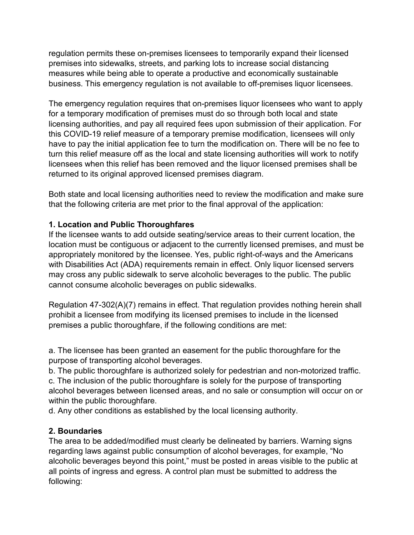regulation permits these on-premises licensees to temporarily expand their licensed premises into sidewalks, streets, and parking lots to increase social distancing measures while being able to operate a productive and economically sustainable business. This emergency regulation is not available to off-premises liquor licensees.

The emergency regulation requires that on-premises liquor licensees who want to apply for a temporary modification of premises must do so through both local and state licensing authorities, and pay all required fees upon submission of their application. For this COVID-19 relief measure of a temporary premise modification, licensees will only have to pay the initial application fee to turn the modification on. There will be no fee to turn this relief measure off as the local and state licensing authorities will work to notify licensees when this relief has been removed and the liquor licensed premises shall be returned to its original approved licensed premises diagram.

Both state and local licensing authorities need to review the modification and make sure that the following criteria are met prior to the final approval of the application:

## **1. Location and Public Thoroughfares**

If the licensee wants to add outside seating/service areas to their current location, the location must be contiguous or adjacent to the currently licensed premises, and must be appropriately monitored by the licensee. Yes, public right-of-ways and the Americans with Disabilities Act (ADA) requirements remain in effect. Only liquor licensed servers may cross any public sidewalk to serve alcoholic beverages to the public. The public cannot consume alcoholic beverages on public sidewalks.

Regulation 47-302(A)(7) remains in effect. That regulation provides nothing herein shall prohibit a licensee from modifying its licensed premises to include in the licensed premises a public thoroughfare, if the following conditions are met:

a. The licensee has been granted an easement for the public thoroughfare for the purpose of transporting alcohol beverages.

b. The public thoroughfare is authorized solely for pedestrian and non-motorized traffic. c. The inclusion of the public thoroughfare is solely for the purpose of transporting alcohol beverages between licensed areas, and no sale or consumption will occur on or within the public thoroughfare.

d. Any other conditions as established by the local licensing authority.

## **2. Boundaries**

The area to be added/modified must clearly be delineated by barriers. Warning signs regarding laws against public consumption of alcohol beverages, for example, "No alcoholic beverages beyond this point," must be posted in areas visible to the public at all points of ingress and egress. A control plan must be submitted to address the following: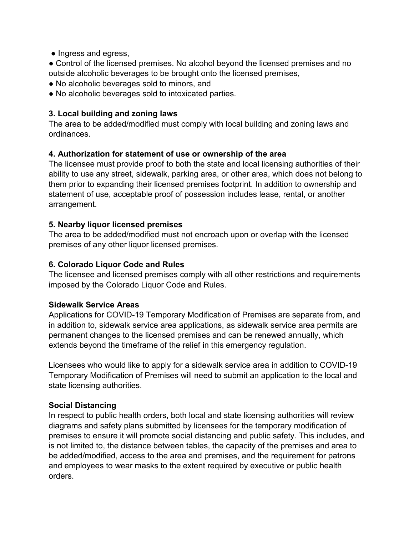• Ingress and egress,

• Control of the licensed premises. No alcohol beyond the licensed premises and no outside alcoholic beverages to be brought onto the licensed premises,

- No alcoholic beverages sold to minors, and
- No alcoholic beverages sold to intoxicated parties.

### **3. Local building and zoning laws**

The area to be added/modified must comply with local building and zoning laws and ordinances.

### **4. Authorization for statement of use or ownership of the area**

The licensee must provide proof to both the state and local licensing authorities of their ability to use any street, sidewalk, parking area, or other area, which does not belong to them prior to expanding their licensed premises footprint. In addition to ownership and statement of use, acceptable proof of possession includes lease, rental, or another arrangement.

#### **5. Nearby liquor licensed premises**

The area to be added/modified must not encroach upon or overlap with the licensed premises of any other liquor licensed premises.

## **6. Colorado Liquor Code and Rules**

The licensee and licensed premises comply with all other restrictions and requirements imposed by the Colorado Liquor Code and Rules.

#### **Sidewalk Service Areas**

Applications for COVID-19 Temporary Modification of Premises are separate from, and in addition to, sidewalk service area applications, as sidewalk service area permits are permanent changes to the licensed premises and can be renewed annually, which extends beyond the timeframe of the relief in this emergency regulation.

Licensees who would like to apply for a sidewalk service area in addition to COVID-19 Temporary Modification of Premises will need to submit an application to the local and state licensing authorities.

## **Social Distancing**

In respect to public health orders, both local and state licensing authorities will review diagrams and safety plans submitted by licensees for the temporary modification of premises to ensure it will promote social distancing and public safety. This includes, and is not limited to, the distance between tables, the capacity of the premises and area to be added/modified, access to the area and premises, and the requirement for patrons and employees to wear masks to the extent required by executive or public health orders.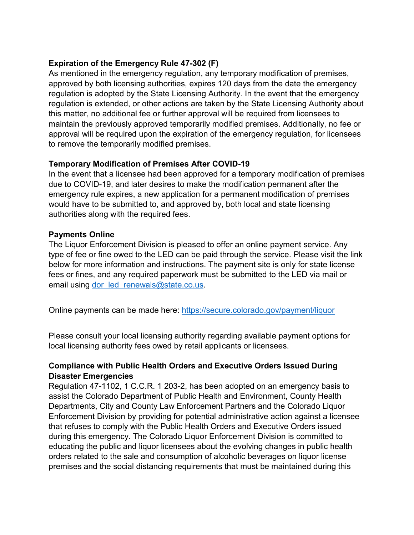## **Expiration of the Emergency Rule 47-302 (F)**

As mentioned in the emergency regulation, any temporary modification of premises, approved by both licensing authorities, expires 120 days from the date the emergency regulation is adopted by the State Licensing Authority. In the event that the emergency regulation is extended, or other actions are taken by the State Licensing Authority about this matter, no additional fee or further approval will be required from licensees to maintain the previously approved temporarily modified premises. Additionally, no fee or approval will be required upon the expiration of the emergency regulation, for licensees to remove the temporarily modified premises.

# **Temporary Modification of Premises After COVID-19**

In the event that a licensee had been approved for a temporary modification of premises due to COVID-19, and later desires to make the modification permanent after the emergency rule expires, a new application for a permanent modification of premises would have to be submitted to, and approved by, both local and state licensing authorities along with the required fees.

### **Payments Online**

The Liquor Enforcement Division is pleased to offer an online payment service. Any type of fee or fine owed to the LED can be paid through the service. Please visit the link below for more information and instructions. The payment site is only for state license fees or fines, and any required paperwork must be submitted to the LED via mail or email using dor led renewals@state.co.us.

Online payments can be made here: [https://secure.colorado.gov/payment/liquor](https://urldefense.proofpoint.com/v2/url?u=https-3A__secure.colorado.gov_payment_liquor&d=DwQFaQ&c=sdnEM9SRGFuMt5z5w3AhsPNahmNicq64TgF1JwNR0cs&r=Cq9HrRXxRS4xXxSimISEqGc7kbFg7FwtyuDGk3QlV-Q&m=PTQnGsZIVfafEUa1NCsWoKqco345LeJHBU5TRhVAwus&s=xjUKDeEi-da06TSKY5_REc0zSqTxBD0k4n_l4bTlEzc&e=)

Please consult your local licensing authority regarding available payment options for local licensing authority fees owed by retail applicants or licensees.

## **Compliance with Public Health Orders and Executive Orders Issued During Disaster Emergencies**

Regulation 47-1102, 1 C.C.R. 1 203-2, has been adopted on an emergency basis to assist the Colorado Department of Public Health and Environment, County Health Departments, City and County Law Enforcement Partners and the Colorado Liquor Enforcement Division by providing for potential administrative action against a licensee that refuses to comply with the Public Health Orders and Executive Orders issued during this emergency. The Colorado Liquor Enforcement Division is committed to educating the public and liquor licensees about the evolving changes in public health orders related to the sale and consumption of alcoholic beverages on liquor license premises and the social distancing requirements that must be maintained during this